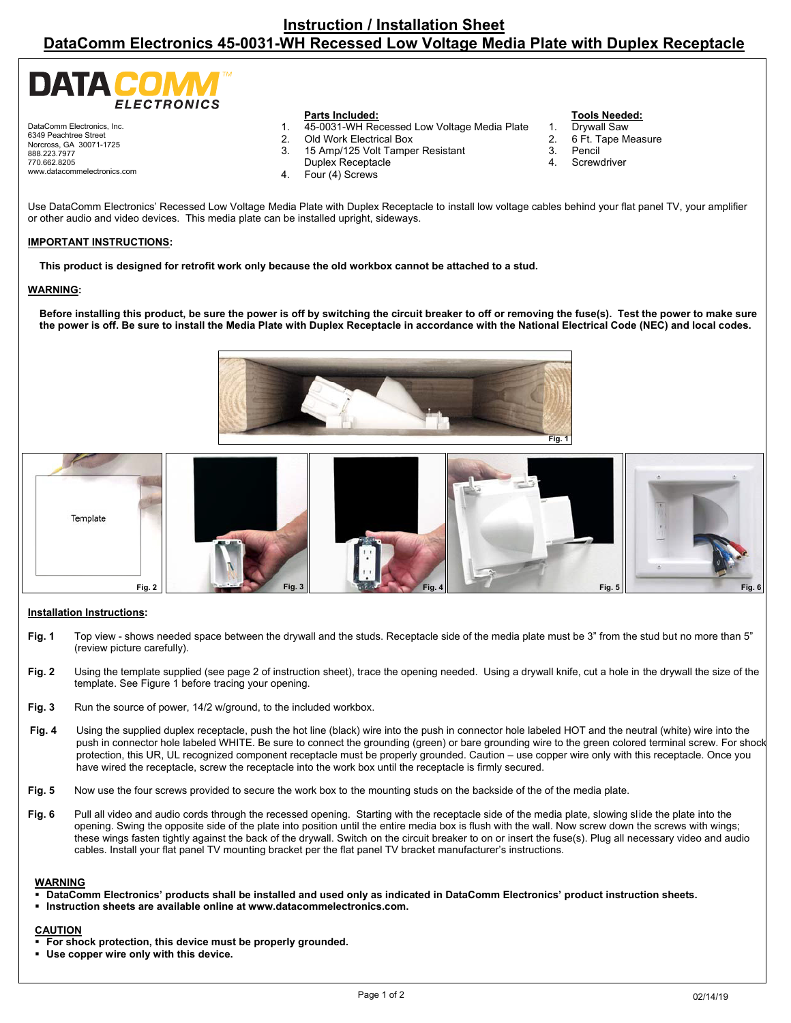| <b>DATA COMM</b><br><b>ELECTRONICS</b> |                                             |  |
|----------------------------------------|---------------------------------------------|--|
|                                        | <b>Parts Included:</b>                      |  |
| DataComm Electronics, Inc.             | 45-0031-WH Recessed Low Voltage Media Plate |  |

6349 Peachtree Street Norcross, GA 30071-1725 888.223.7977 770.662.8205 www.datacommelectronics.com

- 
- 2. Old Work Electrical Box<br>3. 15 Amp/125 Volt Tampe
- 3. 15 Amp/125 Volt Tamper Resistant
- Duplex Receptacle
- 4. Four (4) Screws

# **Tools Needed:**

- Drywall Saw
- 2. 6 Ft. Tape Measure<br>3. Pencil
- **Pencil**
- 4. Screwdriver

Use DataComm Electronics' Recessed Low Voltage Media Plate with Duplex Receptacle to install low voltage cables behind your flat panel TV, your amplifier or other audio and video devices. This media plate can be installed upright, sideways.

# **IMPORTANT INSTRUCTIONS:**

**This product is designed for retrofit work only because the old workbox cannot be attached to a stud.** 

#### **WARNING:**

**Before installing this product, be sure the power is off by switching the circuit breaker to off or removing the fuse(s). Test the power to make sure the power is off. Be sure to install the Media Plate with Duplex Receptacle in accordance with the National Electrical Code (NEC) and local codes.** 





# **Installation Instructions:**

- **Fig. 1** Top view shows needed space between the drywall and the studs. Receptacle side of the media plate must be 3" from the stud but no more than 5" (review picture carefully).
- **Fig. 2** Using the template supplied (see page 2 of instruction sheet), trace the opening needed. Using a drywall knife, cut a hole in the drywall the size of the template. See Figure 1 before tracing your opening.
- Fig. 3 Run the source of power, 14/2 w/ground, to the included workbox.
- **Fig. 4** Using the supplied duplex receptacle, push the hot line (black) wire into the push in connector hole labeled HOT and the neutral (white) wire into the push in connector hole labeled WHITE. Be sure to connect the grounding (green) or bare grounding wire to the green colored terminal screw. For shock protection, this UR, UL recognized component receptacle must be properly grounded. Caution – use copper wire only with this receptacle. Once you have wired the receptacle, screw the receptacle into the work box until the receptacle is firmly secured.
- **Fig. 5** Now use the four screws provided to secure the work box to the mounting studs on the backside of the of the media plate.
- **Fig. 6** Pull all video and audio cords through the recessed opening. Starting with the receptacle side of the media plate, slowing slide the plate into the opening. Swing the opposite side of the plate into position until the entire media box is flush with the wall. Now screw down the screws with wings; these wings fasten tightly against the back of the drywall. Switch on the circuit breaker to on or insert the fuse(s). Plug all necessary video and audio cables. Install your flat panel TV mounting bracket per the flat panel TV bracket manufacturer's instructions.

# **WARNING**

- **DataComm Electronics' products shall be installed and used only as indicated in DataComm Electronics' product instruction sheets.**
- **Instruction sheets are available online at www.datacommelectronics.com.**

# **CAUTION**

- **For shock protection, this device must be properly grounded.**
- **Use copper wire only with this device.**